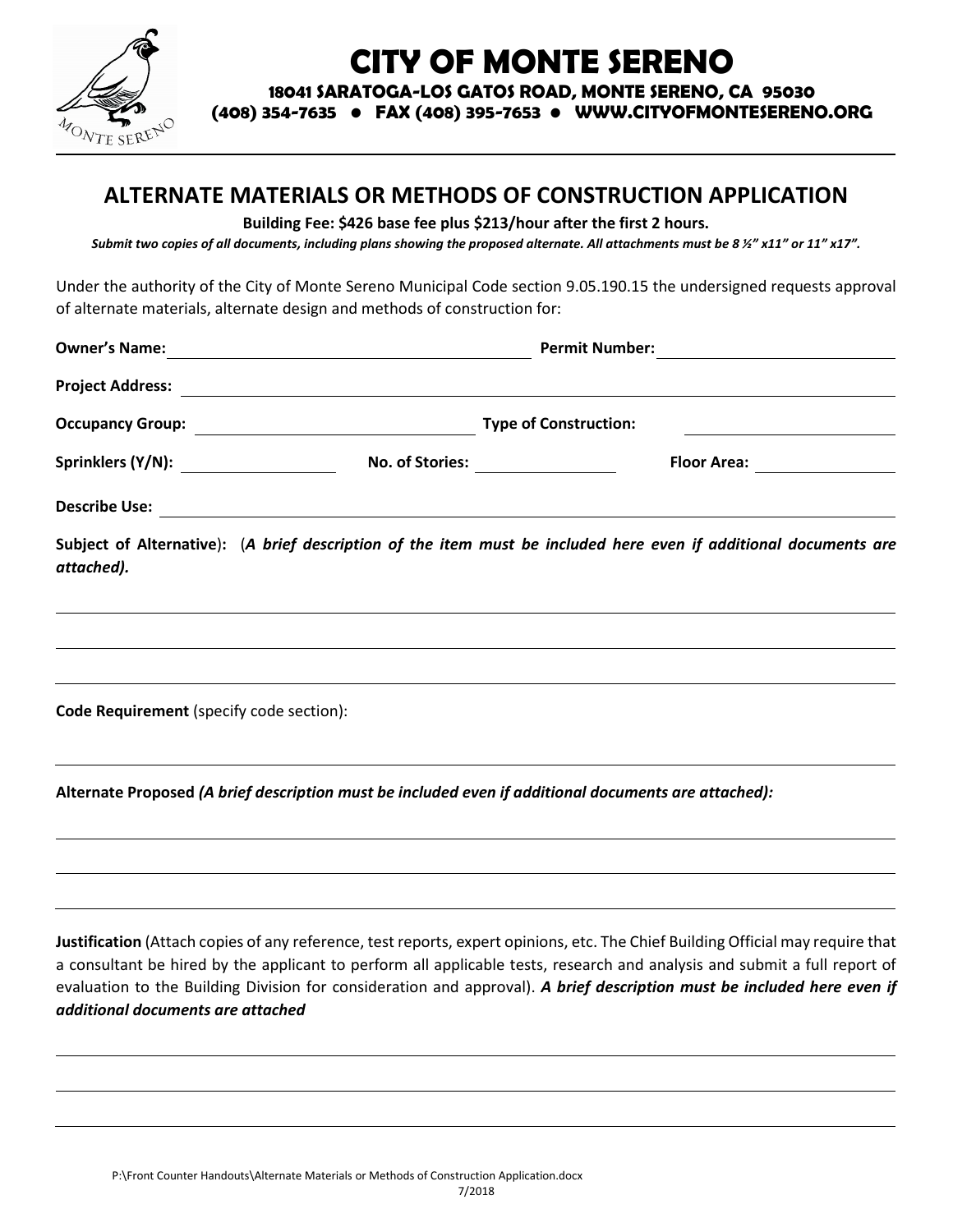

# **CITY OF MONTE SERENO**

**18041 SARATOGA-LOS GATOS ROAD, MONTE SERENO, CA 95030**

**(408) 354-7635 • FAX (408) 395-7653 • WWW.CITYOFMONTESERENO.ORG**

### **ALTERNATE MATERIALS OR METHODS OF CONSTRUCTION APPLICATION**

**Building Fee: \$426 base fee plus \$213/hour after the first 2 hours.**

*Submit two copies of all documents, including plans showing the proposed alternate. All attachments must be 8 ½" x11" or 11" x17".*

Under the authority of the City of Monte Sereno Municipal Code section 9.05.190.15 the undersigned requests approval of alternate materials, alternate design and methods of construction for:

|                                          | Permit Number: <u>____________________</u>                                                                       |                                                                                                                  |
|------------------------------------------|------------------------------------------------------------------------------------------------------------------|------------------------------------------------------------------------------------------------------------------|
|                                          |                                                                                                                  |                                                                                                                  |
|                                          | <b>Type of Construction:</b>                                                                                     |                                                                                                                  |
|                                          | Sprinklers (Y/N): No. of Stories: No. 2010                                                                       |                                                                                                                  |
|                                          |                                                                                                                  |                                                                                                                  |
| attached).                               |                                                                                                                  | Subject of Alternative): (A brief description of the item must be included here even if additional documents are |
|                                          |                                                                                                                  |                                                                                                                  |
| Code Requirement (specify code section): | and the control of the control of the control of the control of the control of the control of the control of the |                                                                                                                  |
|                                          | Alternate Proposed (A brief description must be included even if additional documents are attached):             |                                                                                                                  |
|                                          |                                                                                                                  |                                                                                                                  |
|                                          |                                                                                                                  |                                                                                                                  |

**Justification** (Attach copies of any reference, test reports, expert opinions, etc. The Chief Building Official may require that a consultant be hired by the applicant to perform all applicable tests, research and analysis and submit a full report of evaluation to the Building Division for consideration and approval). *A brief description must be included here even if additional documents are attached*